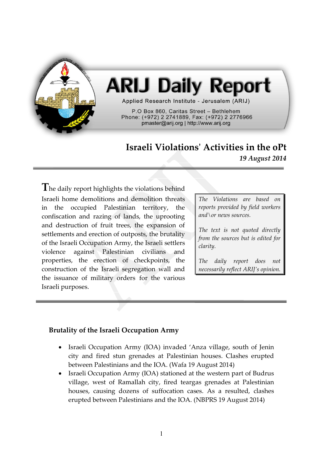

# **ARIJ Daily Report**

Applied Research Institute - Jerusalem (ARIJ)

P.O Box 860. Caritas Street - Bethlehem Phone: (+972) 2 2741889, Fax: (+972) 2 2776966 pmaster@arij.org | http://www.arij.org

# **Israeli Violations' Activities in the oPt** *19 August 2014*

**T**he daily report highlights the violations behind Israeli home demolitions and demolition threats in the occupied Palestinian territory, the confiscation and razing of lands, the uprooting and destruction of fruit trees, the expansion of settlements and erection of outposts, the brutality of the Israeli Occupation Army, the Israeli settlers violence against Palestinian civilians and properties, the erection of checkpoints, the construction of the Israeli segregation wall and the issuance of military orders for the various Israeli purposes.

*The Violations are based on reports provided by field workers and\or news sources.*

*The text is not quoted directly from the sources but is edited for clarity.*

*The daily report does not necessarily reflect ARIJ's opinion.*

### **Brutality of the Israeli Occupation Army**

- Israeli Occupation Army (IOA) invaded 'Anza village, south of Jenin city and fired stun grenades at Palestinian houses. Clashes erupted between Palestinians and the IOA. (Wafa 19 August 2014)
- Israeli Occupation Army (IOA) stationed at the western part of Budrus village, west of Ramallah city, fired teargas grenades at Palestinian houses, causing dozens of suffocation cases. As a resulted, clashes erupted between Palestinians and the IOA. (NBPRS 19 August 2014)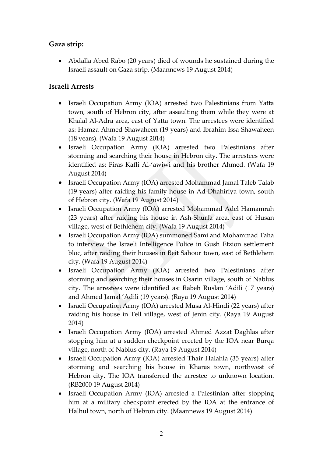## **Gaza strip:**

• Abdalla Abed Rabo (20 years) died of wounds he sustained during the Israeli assault on Gaza strip. (Maannews 19 August 2014)

### **Israeli Arrests**

- Israeli Occupation Army (IOA) arrested two Palestinians from Yatta town, south of Hebron city, after assaulting them while they were at Khalal Al-Adra area, east of Yatta town. The arrestees were identified as: Hamza Ahmed Shawaheen (19 years) and Ibrahim Issa Shawaheen (18 years). (Wafa 19 August 2014)
- Israeli Occupation Army (IOA) arrested two Palestinians after storming and searching their house in Hebron city. The arrestees were identified as: Firas Kafli Al-'awiwi and his brother Ahmed. (Wafa 19 August 2014)
- Israeli Occupation Army (IOA) arrested Mohammad Jamal Taleb Talab (19 years) after raiding his family house in Ad-Dhahiriya town, south of Hebron city. (Wafa 19 August 2014)
- Israeli Occupation Army (IOA) arrested Mohammad Adel Hamamrah (23 years) after raiding his house in Ash-Shurfa area, east of Husan village, west of Bethlehem city. (Wafa 19 August 2014)
- Israeli Occupation Army (IOA) summoned Sami and Mohammad Taha to interview the Israeli Intelligence Police in Gush Etzion settlement bloc, after raiding their houses in Beit Sahour town, east of Bethlehem city. (Wafa 19 August 2014)
- Israeli Occupation Army (IOA) arrested two Palestinians after storming and searching their houses in Osarin village, south of Nablus city. The arrestees were identified as: Rabeh Ruslan 'Adili (17 years) and Ahmed Jamal 'Adili (19 years). (Raya 19 August 2014)
- Israeli Occupation Army (IOA) arrested Musa Al-Hindi (22 years) after raiding his house in Tell village, west of Jenin city. (Raya 19 August 2014)
- Israeli Occupation Army (IOA) arrested Ahmed Azzat Daghlas after stopping him at a sudden checkpoint erected by the IOA near Burqa village, north of Nablus city. (Raya 19 August 2014)
- Israeli Occupation Army (IOA) arrested Thair Halahla (35 years) after storming and searching his house in Kharas town, northwest of Hebron city. The IOA transferred the arrestee to unknown location. (RB2000 19 August 2014)
- Israeli Occupation Army (IOA) arrested a Palestinian after stopping him at a military checkpoint erected by the IOA at the entrance of Halhul town, north of Hebron city. (Maannews 19 August 2014)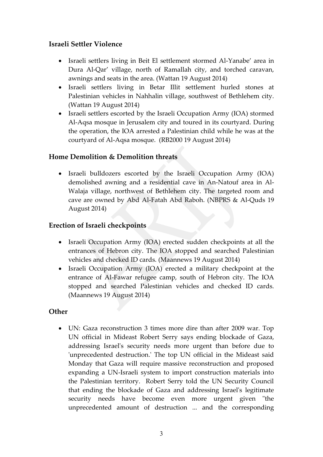### **Israeli Settler Violence**

- Israeli settlers living in Beit El settlement stormed Al-Yanabe' area in Dura Al-Qar' village, north of Ramallah city, and torched caravan, awnings and seats in the area. (Wattan 19 August 2014)
- Israeli settlers living in Betar Illit settlement hurled stones at Palestinian vehicles in Nahhalin village, southwest of Bethlehem city. (Wattan 19 August 2014)
- Israeli settlers escorted by the Israeli Occupation Army (IOA) stormed Al-Aqsa mosque in Jerusalem city and toured in its courtyard. During the operation, the IOA arrested a Palestinian child while he was at the courtyard of Al-Aqsa mosque. (RB2000 19 August 2014)

### **Home Demolition & Demolition threats**

 Israeli bulldozers escorted by the Israeli Occupation Army (IOA) demolished awning and a residential cave in An-Natouf area in Al-Walaja village, northwest of Bethlehem city. The targeted room and cave are owned by Abd Al-Fatah Abd Raboh. (NBPRS & Al-Quds 19 August 2014)

#### **Erection of Israeli checkpoints**

- Israeli Occupation Army (IOA) erected sudden checkpoints at all the entrances of Hebron city. The IOA stopped and searched Palestinian vehicles and checked ID cards. (Maannews 19 August 2014)
- Israeli Occupation Army (IOA) erected a military checkpoint at the entrance of Al-Fawar refugee camp, south of Hebron city. The IOA stopped and searched Palestinian vehicles and checked ID cards. (Maannews 19 August 2014)

#### **Other**

 UN: Gaza reconstruction 3 times more dire than after 2009 war. Top UN official in Mideast Robert Serry says ending blockade of Gaza, addressing Israel's security needs more urgent than before due to 'unprecedented destruction.' The top UN official in the Mideast said Monday that Gaza will require massive reconstruction and proposed expanding a UN-Israeli system to import construction materials into the Palestinian territory. Robert Serry told the UN Security Council that ending the blockade of Gaza and addressing Israel's legitimate security needs have become even more urgent given "the unprecedented amount of destruction ... and the corresponding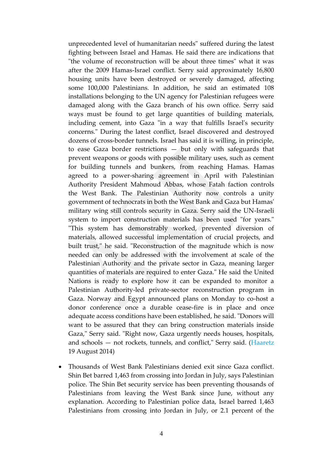unprecedented level of humanitarian needs" suffered during the latest fighting between Israel and Hamas. He said there are indications that "the volume of reconstruction will be about three times" what it was after the 2009 Hamas-Israel conflict. Serry said approximately 16,800 housing units have been destroyed or severely damaged, affecting some 100,000 Palestinians. In addition, he said an estimated 108 installations belonging to the UN agency for Palestinian refugees were damaged along with the Gaza branch of his own office. Serry said ways must be found to get large quantities of building materials, including cement, into Gaza "in a way that fulfills Israel's security concerns." During the latest conflict, Israel discovered and destroyed dozens of cross-border tunnels. Israel has said it is willing, in principle, to ease Gaza border restrictions — but only with safeguards that prevent weapons or goods with possible military uses, such as cement for building tunnels and bunkers, from reaching Hamas. Hamas agreed to a power-sharing agreement in April with Palestinian Authority President Mahmoud Abbas, whose Fatah faction controls the West Bank. The Palestinian Authority now controls a unity government of technocrats in both the West Bank and Gaza but Hamas' military wing still controls security in Gaza. Serry said the UN-Israeli system to import construction materials has been used "for years." "This system has demonstrably worked, prevented diversion of materials, allowed successful implementation of crucial projects, and built trust," he said. "Reconstruction of the magnitude which is now needed can only be addressed with the involvement at scale of the Palestinian Authority and the private sector in Gaza, meaning larger quantities of materials are required to enter Gaza." He said the United Nations is ready to explore how it can be expanded to monitor a Palestinian Authority-led private-sector reconstruction program in Gaza. Norway and Egypt announced plans on Monday to co-host a donor conference once a durable cease-fire is in place and once adequate access conditions have been established, he said. "Donors will want to be assured that they can bring construction materials inside Gaza," Serry said. "Right now, Gaza urgently needs houses, hospitals, and schools — not rockets, tunnels, and conflict," Serry said. [\(Haaretz](http://www.haaretz.com/news/diplomacy-defense/1.611217) 19 August 2014)

 Thousands of West Bank Palestinians denied exit since Gaza conflict. Shin Bet barred 1,463 from crossing into Jordan in July, says Palestinian police. The Shin Bet security service has been preventing thousands of Palestinians from leaving the West Bank since June, without any explanation. According to Palestinian police data, Israel barred 1,463 Palestinians from crossing into Jordan in July, or 2.1 percent of the